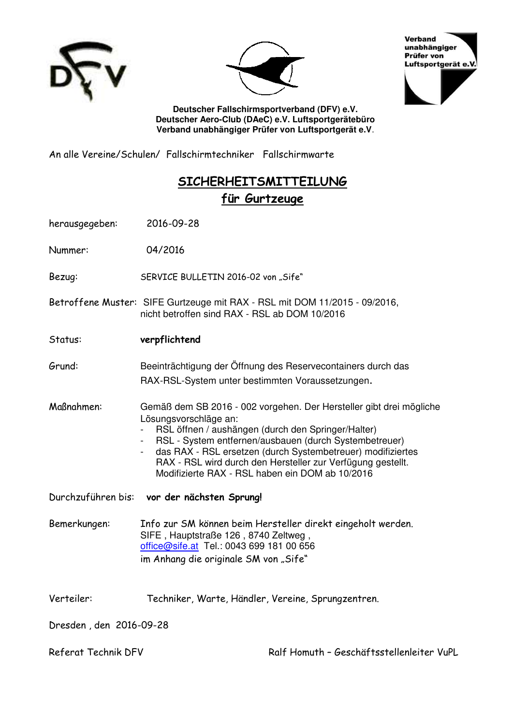





**Deutscher Fallschirmsportverband (DFV) e.V. Deutscher Aero-Club (DAeC) e.V. Luftsportgerätebüro Verband unabhängiger Prüfer von Luftsportgerät e.V**.

An alle Vereine/Schulen/ Fallschirmtechniker Fallschirmwarte

# **SICHERHEITSMITTEILUNG für Gurtzeuge**

herausgegeben: 2016-09-28

Nummer: 04/2016

Bezug: SERVICE BULLETIN 2016-02 von "Sife"

- Betroffene Muster: SIFE Gurtzeuge mit RAX RSL mit DOM 11/2015 09/2016, nicht betroffen sind RAX - RSL ab DOM 10/2016
- Status: **verpflichtend**

Grund: Beeinträchtigung der Öffnung des Reservecontainers durch das RAX-RSL-System unter bestimmten Voraussetzungen.

Maßnahmen: Gemäß dem SB 2016 - 002 vorgehen. Der Hersteller gibt drei mögliche Lösungsvorschläge an:

- RSL öffnen / aushängen (durch den Springer/Halter)
- RSL System entfernen/ausbauen (durch Systembetreuer)
- das RAX RSL ersetzen (durch Systembetreuer) modifiziertes RAX - RSL wird durch den Hersteller zur Verfügung gestellt. Modifizierte RAX - RSL haben ein DOM ab 10/2016

Durchzuführen bis: **vor der nächsten Sprung!**

Bemerkungen: Info zur SM können beim Hersteller direkt eingeholt werden. SIFE , Hauptstraße 126 , 8740 Zeltweg , [office@sife.at](mailto:office@sife.at) Tel.: 0043 699 181 00 656 im Anhang die originale SM von "Sife"

Verteiler: Techniker, Warte, Händler, Vereine, Sprungzentren.

Dresden , den 2016-09-28

Referat Technik DFV Technik DFV Ralf Homuth – Geschäftsstellenleiter VuPL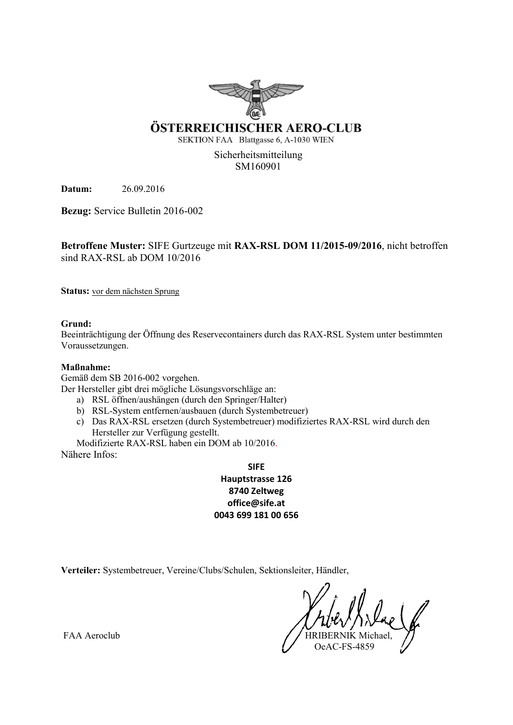

### ÖSTERREICHISCHER AERO-CLUB

SEKTION FAA Blattgasse 6, A-1030 WIEN

Sicherheitsmitteilung SM160901

**Datum:** 26.09.2016

**Bezug:** Service Bulletin 2016-002

**Betroffene Muster:** SIFE Gurtzeuge mit **RAX-RSL DOM 11/2015-09/2016**, nicht betroffen sind RAX-RSL ab DOM 10/2016

**Status:** vor dem nächsten Sprung

**Grund:**

Beeinträchtigung der Öffnung des Reservecontainers durch das RAX-RSL System unter bestimmten Voraussetzungen.

#### **Maßnahme:**

Gemäß dem SB 2016-002 vorgehen.

Der Hersteller gibt drei mögliche Lösungsvorschläge an:

- a) RSL öffnen/aushängen (durch den Springer/Halter)
- b) RSL-System entfernen/ausbauen (durch Systembetreuer)
- c) Das RAX-RSL ersetzen (durch Systembetreuer) modifiziertes RAX-RSL wird durch den Hersteller zur Verfügung gestellt.

Modifizierte RAX-RSL haben ein DOM ab 10/2016. Nähere Infos:

> **SIFE Hauptstrasse 126 8740 Zeltweg office@sife.at 0043 699 181 00 656**

**Verteiler:** Systembetreuer, Vereine/Clubs/Schulen, Sektionsleiter, Händler,

OeAC-FS-4859

FAA Aeroclub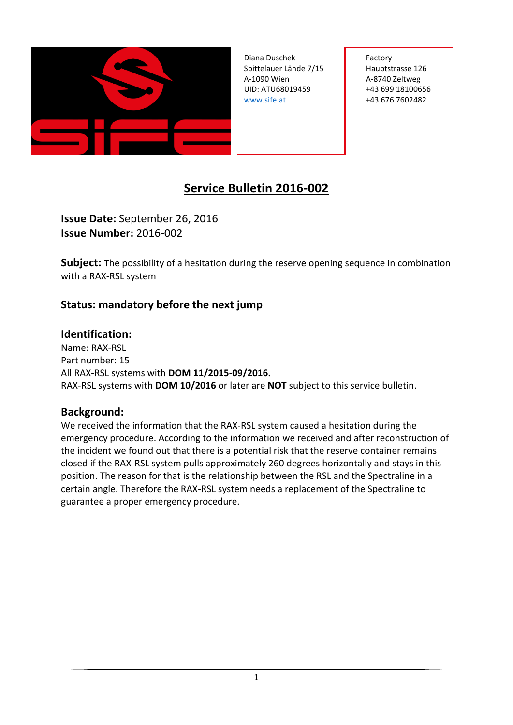

Diana Duschek **I** Factory Spittelauer Lände 7/15 Hauptstrasse 126 A-1090 Wien **A-8740 Zeltweg** UID: ATU68019459 +43 699 18100656 [www.sife.at](http://www.sife.at/) +43 676 7602482

# **Service Bulletin 2016-002**

**Issue Date:** September 26, 2016 **Issue Number:** 2016-002

**Subject:** The possibility of a hesitation during the reserve opening sequence in combination with a RAX-RSL system

# **Status: mandatory before the next jump**

## **Identification:**

Name: RAX-RSL Part number: 15 All RAX-RSL systems with **DOM 11/2015-09/2016.** RAX-RSL systems with **DOM 10/2016** or later are **NOT** subject to this service bulletin.

## **Background:**

We received the information that the RAX-RSL system caused a hesitation during the emergency procedure. According to the information we received and after reconstruction of the incident we found out that there is a potential risk that the reserve container remains closed if the RAX-RSL system pulls approximately 260 degrees horizontally and stays in this position. The reason for that is the relationship between the RSL and the Spectraline in a certain angle. Therefore the RAX-RSL system needs a replacement of the Spectraline to guarantee a proper emergency procedure.